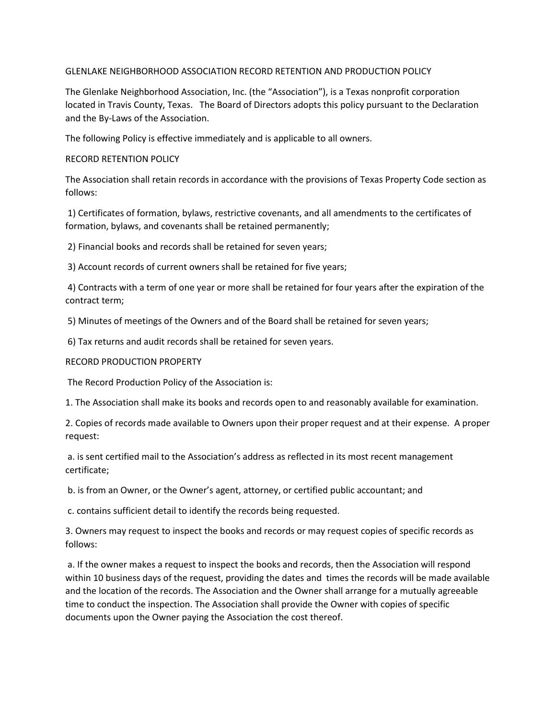## GLENLAKE NEIGHBORHOOD ASSOCIATION RECORD RETENTION AND PRODUCTION POLICY

The Glenlake Neighborhood Association, Inc. (the "Association"), is a Texas nonprofit corporation located in Travis County, Texas. The Board of Directors adopts this policy pursuant to the Declaration and the By-Laws of the Association.

The following Policy is effective immediately and is applicable to all owners.

## RECORD RETENTION POLICY

The Association shall retain records in accordance with the provisions of Texas Property Code section as follows:

1) Certificates of formation, bylaws, restrictive covenants, and all amendments to the certificates of formation, bylaws, and covenants shall be retained permanently;

2) Financial books and records shall be retained for seven years;

3) Account records of current owners shall be retained for five years;

4) Contracts with a term of one year or more shall be retained for four years after the expiration of the contract term;

5) Minutes of meetings of the Owners and of the Board shall be retained for seven years;

6) Tax returns and audit records shall be retained for seven years.

## RECORD PRODUCTION PROPERTY

The Record Production Policy of the Association is:

1. The Association shall make its books and records open to and reasonably available for examination.

2. Copies of records made available to Owners upon their proper request and at their expense. A proper request:

a. is sent certified mail to the Association's address as reflected in its most recent management certificate;

b. is from an Owner, or the Owner's agent, attorney, or certified public accountant; and

c. contains sufficient detail to identify the records being requested.

3. Owners may request to inspect the books and records or may request copies of specific records as follows:

a. If the owner makes a request to inspect the books and records, then the Association will respond within 10 business days of the request, providing the dates and times the records will be made available and the location of the records. The Association and the Owner shall arrange for a mutually agreeable time to conduct the inspection. The Association shall provide the Owner with copies of specific documents upon the Owner paying the Association the cost thereof.